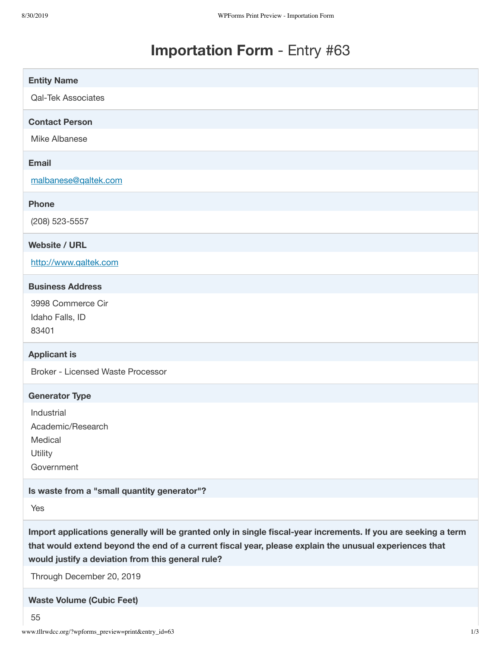# **Importation Form** - Entry #63

| <b>Entity Name</b>                                                                                                                                                                                                                                                                                         |
|------------------------------------------------------------------------------------------------------------------------------------------------------------------------------------------------------------------------------------------------------------------------------------------------------------|
| <b>Qal-Tek Associates</b>                                                                                                                                                                                                                                                                                  |
| <b>Contact Person</b>                                                                                                                                                                                                                                                                                      |
| Mike Albanese                                                                                                                                                                                                                                                                                              |
| <b>Email</b>                                                                                                                                                                                                                                                                                               |
| malbanese@qaltek.com                                                                                                                                                                                                                                                                                       |
| <b>Phone</b>                                                                                                                                                                                                                                                                                               |
| (208) 523-5557                                                                                                                                                                                                                                                                                             |
| <b>Website / URL</b>                                                                                                                                                                                                                                                                                       |
| http://www.qaltek.com                                                                                                                                                                                                                                                                                      |
| <b>Business Address</b>                                                                                                                                                                                                                                                                                    |
| 3998 Commerce Cir<br>Idaho Falls, ID<br>83401                                                                                                                                                                                                                                                              |
| <b>Applicant is</b>                                                                                                                                                                                                                                                                                        |
| <b>Broker - Licensed Waste Processor</b>                                                                                                                                                                                                                                                                   |
| <b>Generator Type</b>                                                                                                                                                                                                                                                                                      |
| Industrial<br>Academic/Research<br>Medical<br>Utility<br>Government                                                                                                                                                                                                                                        |
| Is waste from a "small quantity generator"?                                                                                                                                                                                                                                                                |
| Yes                                                                                                                                                                                                                                                                                                        |
| Import applications generally will be granted only in single fiscal-year increments. If you are seeking a term<br>that would extend beyond the end of a current fiscal year, please explain the unusual experiences that<br>would justify a deviation from this general rule?<br>Through December 20, 2019 |
| <b>Waste Volume (Cubic Feet)</b>                                                                                                                                                                                                                                                                           |

55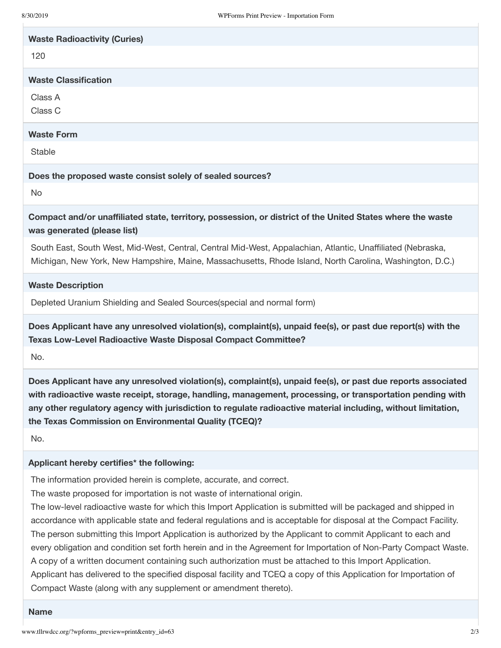| <b>Waste Radioactivity (Curies)</b>                                                                                                       |
|-------------------------------------------------------------------------------------------------------------------------------------------|
| 120                                                                                                                                       |
| <b>Waste Classification</b>                                                                                                               |
| Class A                                                                                                                                   |
| Class C                                                                                                                                   |
| <b>Waste Form</b>                                                                                                                         |
| <b>Stable</b>                                                                                                                             |
| Does the proposed waste consist solely of sealed sources?                                                                                 |
| No                                                                                                                                        |
| Compact and/or unaffiliated state, territory, possession, or district of the United States where the waste<br>was generated (please list) |

South East, South West, Mid-West, Central, Central Mid-West, Appalachian, Atlantic, Unaffiliated (Nebraska, Michigan, New York, New Hampshire, Maine, Massachusetts, Rhode Island, North Carolina, Washington, D.C.)

### **Waste Description**

Depleted Uranium Shielding and Sealed Sources(special and normal form)

**Does Applicant have any unresolved violation(s), complaint(s), unpaid fee(s), or past due report(s) with the Texas Low-Level Radioactive Waste Disposal Compact Committee?**

No.

**Does Applicant have any unresolved violation(s), complaint(s), unpaid fee(s), or past due reports associated with radioactive waste receipt, storage, handling, management, processing, or transportation pending with any other regulatory agency with jurisdiction to regulate radioactive material including, without limitation, the Texas Commission on Environmental Quality (TCEQ)?**

No.

#### **Applicant hereby certifies\* the following:**

The information provided herein is complete, accurate, and correct.

The waste proposed for importation is not waste of international origin.

The low-level radioactive waste for which this Import Application is submitted will be packaged and shipped in accordance with applicable state and federal regulations and is acceptable for disposal at the Compact Facility. The person submitting this Import Application is authorized by the Applicant to commit Applicant to each and every obligation and condition set forth herein and in the Agreement for Importation of Non-Party Compact Waste. A copy of a written document containing such authorization must be attached to this Import Application. Applicant has delivered to the specified disposal facility and TCEQ a copy of this Application for Importation of Compact Waste (along with any supplement or amendment thereto).

#### **Name**